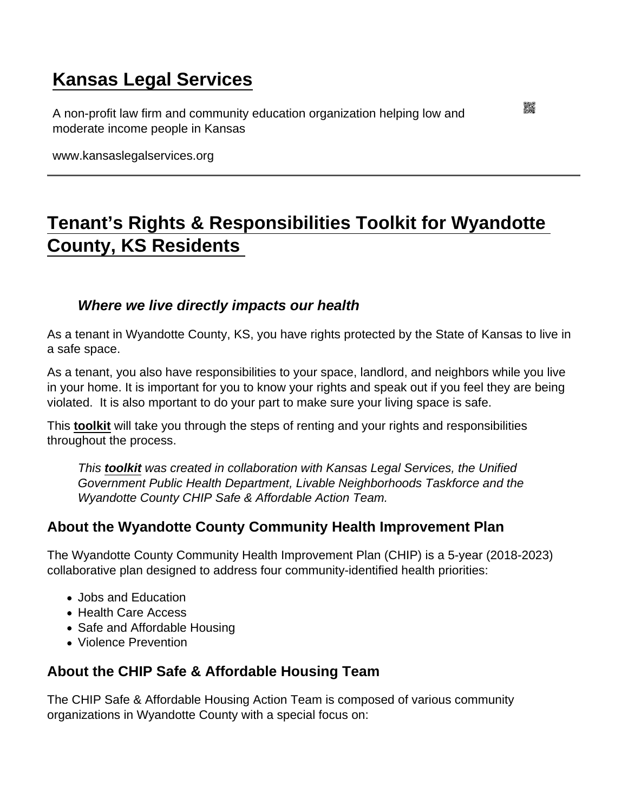## [Kansas Legal Services](https://www.kansaslegalservices.org/)

A non-profit law firm and community education organization helping low and moderate income people in Kansas

www.kansaslegalservices.org

## [Tenant's Rights & Responsibilities Toolkit for Wyandotte](https://www.kansaslegalservices.org/node/2506/tenant’s-rights-responsibilities-toolkit-wyandotte-county-ks-residents)  [County, KS Residents](https://www.kansaslegalservices.org/node/2506/tenant’s-rights-responsibilities-toolkit-wyandotte-county-ks-residents)

Where we live directly impacts our health

As a tenant in Wyandotte County, KS, you have rights protected by the State of Kansas to live in a safe space.

As a tenant, you also have responsibilities to your space, landlord, and neighbors while you live in your home. It is important for you to know your rights and speak out if you feel they are being violated. It is also mportant to do your part to make sure your living space is safe.

This [toolkit](https://www.kansaslegalservices.org/sites/kansaslegalservices.org/files/WYCO Tenant) will take you through the steps of renting and your rights and responsibilities throughout the process.

This [toolkit](https://www.kansaslegalservices.org/sites/kansaslegalservices.org/files/WYCO Tenant) was created in collaboration with Kansas Legal Services, the Unified Government Public Health Department, Livable Neighborhoods Taskforce and the Wyandotte County CHIP Safe & Affordable Action Team.

## About the Wyandotte County Community Health Improvement Plan

The Wyandotte County Community Health Improvement Plan (CHIP) is a 5-year (2018-2023) collaborative plan designed to address four community-identified health priorities:

- Jobs and Education
- Health Care Access
- Safe and Affordable Housing
- Violence Prevention

About the CHIP Safe & Affordable Housing Team

The CHIP Safe & Affordable Housing Action Team is composed of various community organizations in Wyandotte County with a special focus on: